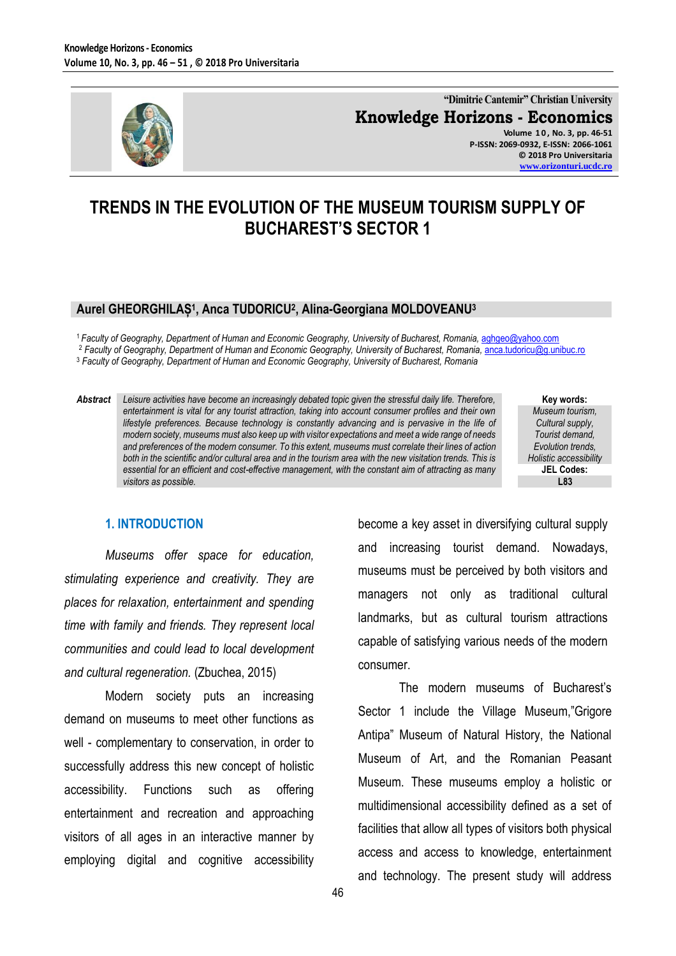

**"Dimitrie Cantemir" Christian University Knowledge Horizons - Economics Volume 1 0 , No. 3, pp. 46-51 P-ISSN: 2069-0932, E-ISSN: 2066-1061**

**© 2018 Pro Universitaria [www.orizonturi.ucdc.ro](http://www.orizonturi.ucdc.ro/)**

# **TRENDS IN THE EVOLUTION OF THE MUSEUM TOURISM SUPPLY OF BUCHAREST'S SECTOR 1**

#### **Aurel GHEORGHILAȘ<sup>1</sup> , Anca TUDORICU<sup>2</sup> , Alina-Georgiana MOLDOVEANU<sup>3</sup>**

<sup>1</sup> Faculty of Geography, Department of Human and Economic Geography, University of Bucharest, Romania, [aghgeo@yahoo.com](mailto:aghgeo@yahoo.com) <sup>2</sup> Faculty of Geography, Department of Human and Economic Geography, University of Bucharest, Romania, [anca.tudoricu@g.unibuc.ro](mailto:anca.tudoricu@g.unibuc.ro) <sup>3</sup> *Faculty of Geography, Department of Human and Economic Geography, University of Bucharest, Romania*

*Abstract Leisure activities have become an increasingly debated topic given the stressful daily life. Therefore, entertainment is vital for any tourist attraction, taking into account consumer profiles and their own lifestyle preferences. Because technology is constantly advancing and is pervasive in the life of modern society, museums must also keep up with visitor expectations and meet a wide range of needs and preferences of the modern consumer. To this extent, museums must correlate their lines of action both in the scientific and/or cultural area and in the tourism area with the new visitation trends. This is essential for an efficient and cost-effective management, with the constant aim of attracting as many visitors as possible.*

**Key words:** *Museum tourism, Cultural supply, Tourist demand, Evolution trends, Holistic accessibility* **JEL Codes: L83**

#### **1. INTRODUCTION**

*Museums offer space for education, stimulating experience and creativity. They are places for relaxation, entertainment and spending time with family and friends. They represent local communities and could lead to local development and cultural regeneration.* (Zbuchea, 2015)

Modern society puts an increasing demand on museums to meet other functions as well - complementary to conservation, in order to successfully address this new concept of holistic accessibility. Functions such as offering entertainment and recreation and approaching visitors of all ages in an interactive manner by employing digital and cognitive accessibility become a key asset in diversifying cultural supply and increasing tourist demand. Nowadays, museums must be perceived by both visitors and managers not only as traditional cultural landmarks, but as cultural tourism attractions capable of satisfying various needs of the modern consumer.

The modern museums of Bucharest's Sector 1 include the Village Museum,"Grigore Antipa" Museum of Natural History, the National Museum of Art, and the Romanian Peasant Museum. These museums employ a holistic or multidimensional accessibility defined as a set of facilities that allow all types of visitors both physical access and access to knowledge, entertainment and technology. The present study will address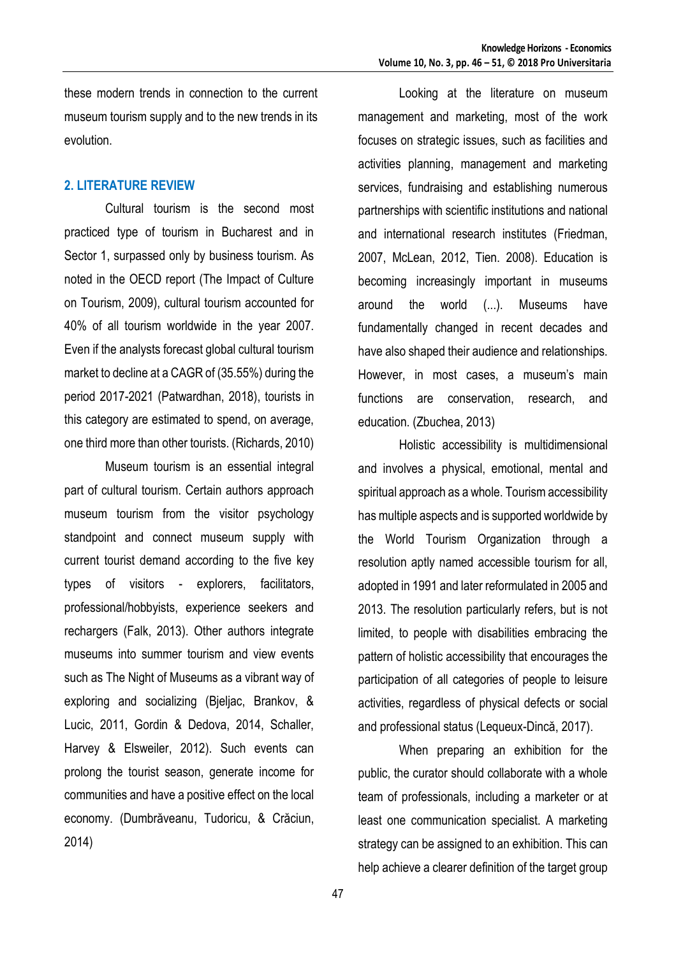these modern trends in connection to the current museum tourism supply and to the new trends in its evolution.

#### **2. LITERATURE REVIEW**

Cultural tourism is the second most practiced type of tourism in Bucharest and in Sector 1, surpassed only by business tourism. As noted in the OECD report (The Impact of Culture on Tourism, 2009), cultural tourism accounted for 40% of all tourism worldwide in the year 2007. Even if the analysts forecast global cultural tourism market to decline at a CAGR of (35.55%) during the period 2017-2021 (Patwardhan, 2018), tourists in this category are estimated to spend, on average, one third more than other tourists. (Richards, 2010)

Museum tourism is an essential integral part of cultural tourism. Certain authors approach museum tourism from the visitor psychology standpoint and connect museum supply with current tourist demand according to the five key types of visitors - explorers, facilitators, professional/hobbyists, experience seekers and rechargers (Falk, 2013). Other authors integrate museums into summer tourism and view events such as The Night of Museums as a vibrant way of exploring and socializing (Bjeljac, Brankov, & Lucic, 2011, Gordin & Dedova, 2014, Schaller, Harvey & Elsweiler, 2012). Such events can prolong the tourist season, generate income for communities and have a positive effect on the local economy. (Dumbrăveanu, Tudoricu, & Crăciun, 2014)

Looking at the literature on museum management and marketing, most of the work focuses on strategic issues, such as facilities and activities planning, management and marketing services, fundraising and establishing numerous partnerships with scientific institutions and national and international research institutes (Friedman, 2007, McLean, 2012, Tien. 2008). Education is becoming increasingly important in museums around the world (...). Museums have fundamentally changed in recent decades and have also shaped their audience and relationships. However, in most cases, a museum's main functions are conservation, research, and education. (Zbuchea, 2013)

Holistic accessibility is multidimensional and involves a physical, emotional, mental and spiritual approach as a whole. Tourism accessibility has multiple aspects and is supported worldwide by the World Tourism Organization through a resolution aptly named accessible tourism for all, adopted in 1991 and later reformulated in 2005 and 2013. The resolution particularly refers, but is not limited, to people with disabilities embracing the pattern of holistic accessibility that encourages the participation of all categories of people to leisure activities, regardless of physical defects or social and professional status (Lequeux-Dincă, 2017).

When preparing an exhibition for the public, the curator should collaborate with a whole team of professionals, including a marketer or at least one communication specialist. A marketing strategy can be assigned to an exhibition. This can help achieve a clearer definition of the target group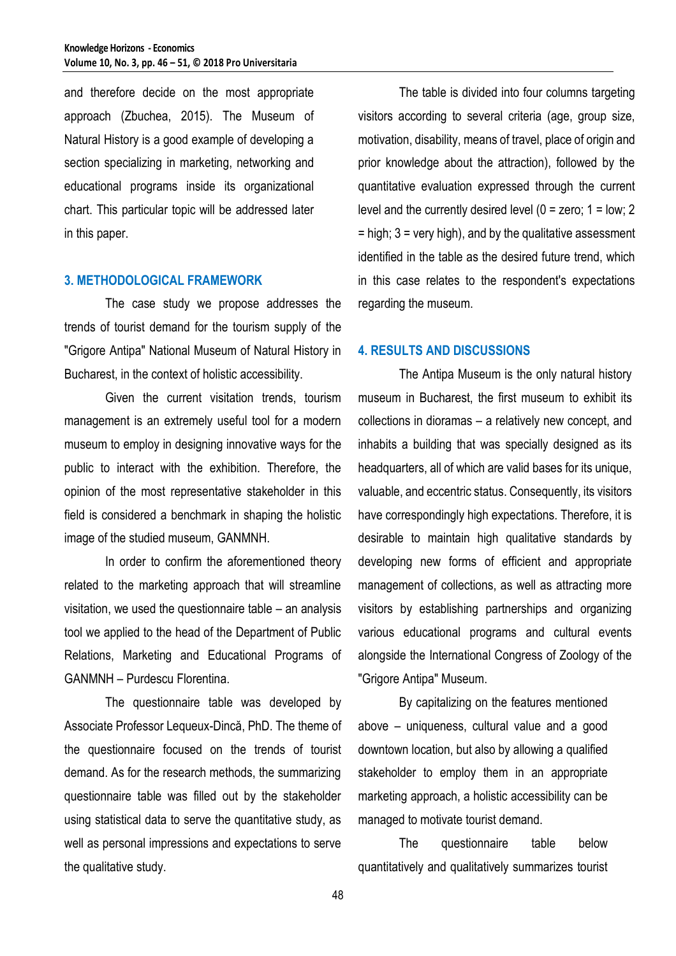and therefore decide on the most appropriate approach (Zbuchea, 2015). The Museum of Natural History is a good example of developing a section specializing in marketing, networking and educational programs inside its organizational chart. This particular topic will be addressed later in this paper.

#### **3. METHODOLOGICAL FRAMEWORK**

The case study we propose addresses the trends of tourist demand for the tourism supply of the "Grigore Antipa" National Museum of Natural History in Bucharest, in the context of holistic accessibility.

Given the current visitation trends, tourism management is an extremely useful tool for a modern museum to employ in designing innovative ways for the public to interact with the exhibition. Therefore, the opinion of the most representative stakeholder in this field is considered a benchmark in shaping the holistic image of the studied museum, GANMNH.

In order to confirm the aforementioned theory related to the marketing approach that will streamline visitation, we used the questionnaire table – an analysis tool we applied to the head of the Department of Public Relations, Marketing and Educational Programs of GANMNH – Purdescu Florentina.

The questionnaire table was developed by Associate Professor Lequeux-Dincă, PhD. The theme of the questionnaire focused on the trends of tourist demand. As for the research methods, the summarizing questionnaire table was filled out by the stakeholder using statistical data to serve the quantitative study, as well as personal impressions and expectations to serve the qualitative study.

The table is divided into four columns targeting visitors according to several criteria (age, group size, motivation, disability, means of travel, place of origin and prior knowledge about the attraction), followed by the quantitative evaluation expressed through the current level and the currently desired level  $(0 = zero; 1 = low; 2)$  $=$  high;  $3 =$  very high), and by the qualitative assessment identified in the table as the desired future trend, which in this case relates to the respondent's expectations regarding the museum.

#### **4. RESULTS AND DISCUSSIONS**

The Antipa Museum is the only natural history museum in Bucharest, the first museum to exhibit its collections in dioramas – a relatively new concept, and inhabits a building that was specially designed as its headquarters, all of which are valid bases for its unique, valuable, and eccentric status. Consequently, its visitors have correspondingly high expectations. Therefore, it is desirable to maintain high qualitative standards by developing new forms of efficient and appropriate management of collections, as well as attracting more visitors by establishing partnerships and organizing various educational programs and cultural events alongside the International Congress of Zoology of the "Grigore Antipa" Museum.

By capitalizing on the features mentioned above – uniqueness, cultural value and a good downtown location, but also by allowing a qualified stakeholder to employ them in an appropriate marketing approach, a holistic accessibility can be managed to motivate tourist demand.

The questionnaire table below quantitatively and qualitatively summarizes tourist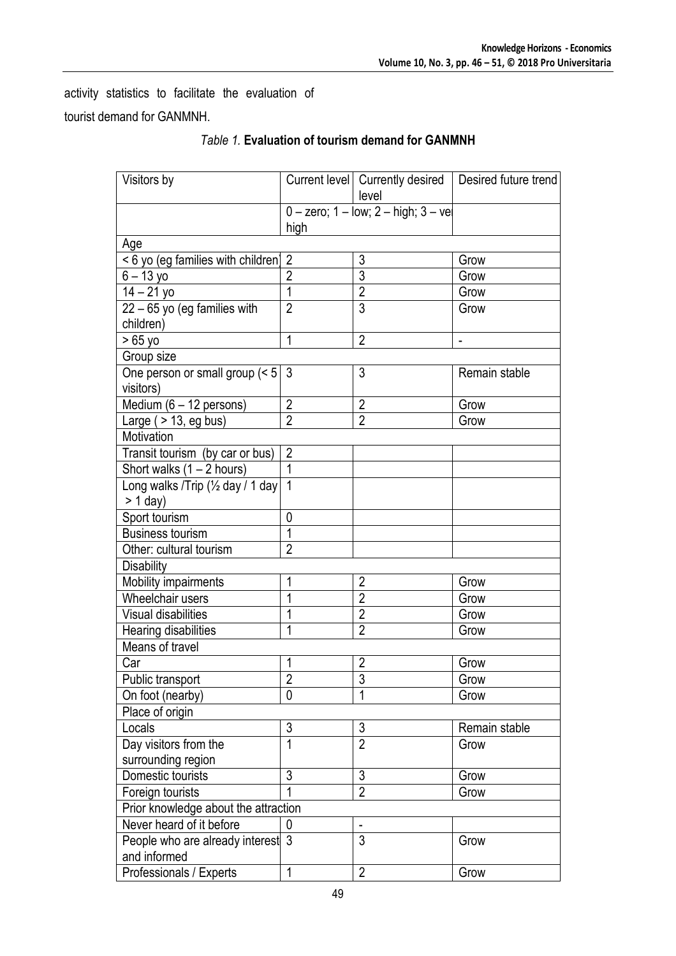activity statistics to facilitate the evaluation of tourist demand for GANMNH.

| Visitors by                          |                                              |                | Current level   Currently desired   Desired future trend |
|--------------------------------------|----------------------------------------------|----------------|----------------------------------------------------------|
|                                      |                                              | level          |                                                          |
|                                      | $0 -$ zero; $1 -$ low; $2 -$ high; $3 -$ vel |                |                                                          |
|                                      | high                                         |                |                                                          |
| Age                                  |                                              |                |                                                          |
| <6 yo (eg families with children) 2  |                                              | 3              | Grow                                                     |
| $6 - 13$ yo                          | $\overline{2}$                               | 3              | Grow                                                     |
| $14 - 21$ yo                         | 1                                            | $\overline{2}$ | Grow                                                     |
| $22 - 65$ yo (eg families with       | $\overline{2}$                               | $\overline{3}$ | Grow                                                     |
| children)                            |                                              |                |                                                          |
| $>65$ yo                             | 1                                            | $\overline{2}$ | $\overline{a}$                                           |
| Group size                           |                                              |                |                                                          |
| One person or small group (< 5)      | -3                                           | 3              | Remain stable                                            |
| visitors)                            |                                              |                |                                                          |
| Medium $(6 - 12$ persons)            | $\overline{2}$                               | $\overline{2}$ | Grow                                                     |
| Large $($ > 13, eg bus)              | $\overline{2}$                               | $\overline{2}$ | Grow                                                     |
| Motivation                           |                                              |                |                                                          |
| Transit tourism (by car or bus)      | $\overline{2}$                               |                |                                                          |
| Short walks $(1 – 2 hours)$          | 1                                            |                |                                                          |
| Long walks /Trip (1/2 day / 1 day    | $\mathbf{1}$                                 |                |                                                          |
| $> 1$ day)                           |                                              |                |                                                          |
| Sport tourism                        | $\mathbf 0$                                  |                |                                                          |
| <b>Business tourism</b>              | 1                                            |                |                                                          |
| Other: cultural tourism              | $\overline{2}$                               |                |                                                          |
| <b>Disability</b>                    |                                              |                |                                                          |
| Mobility impairments                 | 1                                            | $\overline{2}$ | Grow                                                     |
| Wheelchair users                     | 1                                            | $\overline{2}$ | Grow                                                     |
| <b>Visual disabilities</b>           | 1                                            | $\overline{2}$ | Grow                                                     |
| Hearing disabilities                 | 1                                            | $\overline{2}$ | Grow                                                     |
| Means of travel                      |                                              |                |                                                          |
| Car                                  | 1                                            | 2              | Grow                                                     |
| Public transport                     | $\overline{2}$                               | $\overline{3}$ | Grow                                                     |
| On foot (nearby)                     | $\overline{0}$                               | 1              | Grow                                                     |
| Place of origin                      |                                              |                |                                                          |
| Locals                               | $\overline{3}$                               | 3              | Remain stable                                            |
| Day visitors from the                | 1                                            | $\overline{2}$ | Grow                                                     |
| surrounding region                   |                                              |                |                                                          |
| Domestic tourists                    | 3                                            | 3              | Grow                                                     |
| Foreign tourists                     |                                              | $\overline{2}$ | Grow                                                     |
| Prior knowledge about the attraction |                                              |                |                                                          |
| Never heard of it before             | 0                                            |                |                                                          |
| People who are already interest      | 3                                            | 3              | Grow                                                     |
| and informed                         |                                              |                |                                                          |
| Professionals / Experts              | 1                                            | $\overline{2}$ | Grow                                                     |

## *Table 1.* **Evaluation of tourism demand for GANMNH**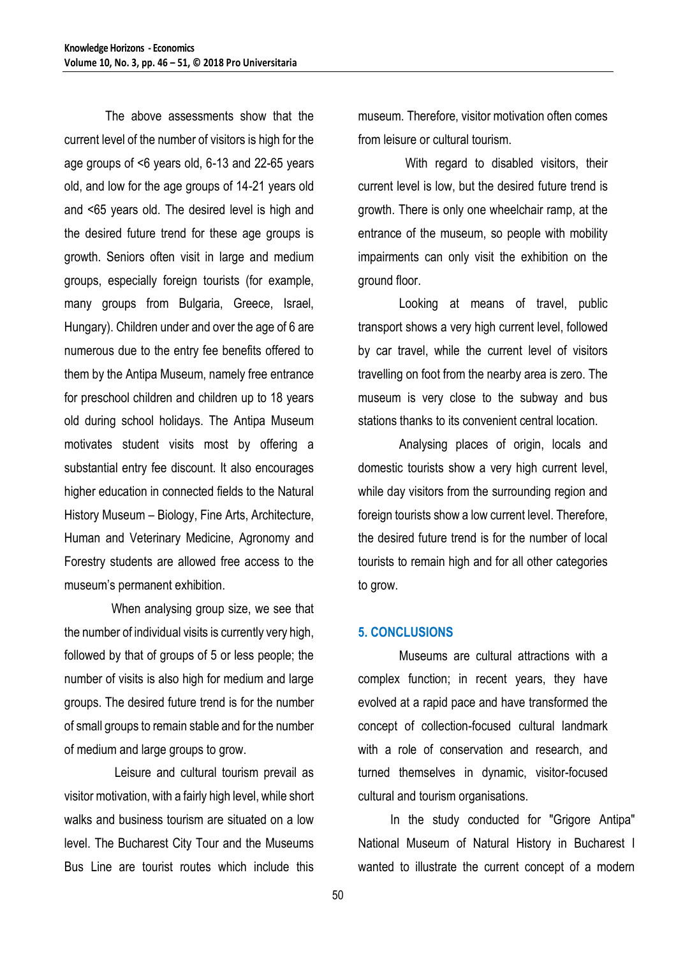The above assessments show that the current level of the number of visitors is high for the age groups of <6 years old, 6-13 and 22-65 years old, and low for the age groups of 14-21 years old and <65 years old. The desired level is high and the desired future trend for these age groups is growth. Seniors often visit in large and medium groups, especially foreign tourists (for example, many groups from Bulgaria, Greece, Israel, Hungary). Children under and over the age of 6 are numerous due to the entry fee benefits offered to them by the Antipa Museum, namely free entrance for preschool children and children up to 18 years old during school holidays. The Antipa Museum motivates student visits most by offering a substantial entry fee discount. It also encourages higher education in connected fields to the Natural History Museum – Biology, Fine Arts, Architecture, Human and Veterinary Medicine, Agronomy and Forestry students are allowed free access to the museum's permanent exhibition.

 When analysing group size, we see that the number of individual visits is currently very high, followed by that of groups of 5 or less people; the number of visits is also high for medium and large groups. The desired future trend is for the number of small groups to remain stable and for the number of medium and large groups to grow.

 Leisure and cultural tourism prevail as visitor motivation, with a fairly high level, while short walks and business tourism are situated on a low level. The Bucharest City Tour and the Museums Bus Line are tourist routes which include this

museum. Therefore, visitor motivation often comes from leisure or cultural tourism.

 With regard to disabled visitors, their current level is low, but the desired future trend is growth. There is only one wheelchair ramp, at the entrance of the museum, so people with mobility impairments can only visit the exhibition on the ground floor.

Looking at means of travel, public transport shows a very high current level, followed by car travel, while the current level of visitors travelling on foot from the nearby area is zero. The museum is very close to the subway and bus stations thanks to its convenient central location.

Analysing places of origin, locals and domestic tourists show a very high current level, while day visitors from the surrounding region and foreign tourists show a low current level. Therefore, the desired future trend is for the number of local tourists to remain high and for all other categories to grow.

#### **5. CONCLUSIONS**

Museums are cultural attractions with a complex function; in recent years, they have evolved at a rapid pace and have transformed the concept of collection-focused cultural landmark with a role of conservation and research, and turned themselves in dynamic, visitor-focused cultural and tourism organisations.

In the study conducted for "Grigore Antipa" National Museum of Natural History in Bucharest I wanted to illustrate the current concept of a modern